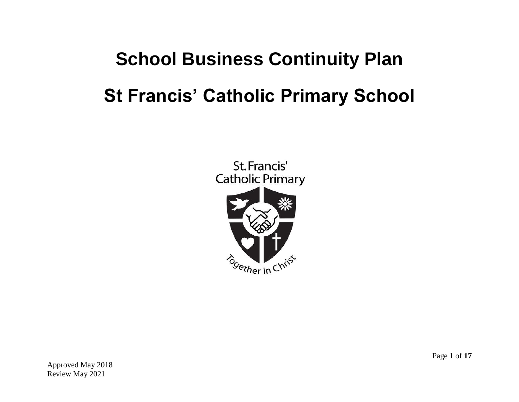# **School Business Continuity Plan St Francis' Catholic Primary School**

St. Francis' **Catholic Primary** 



Approved May 2018 Review May 2021

Page **1** of **17**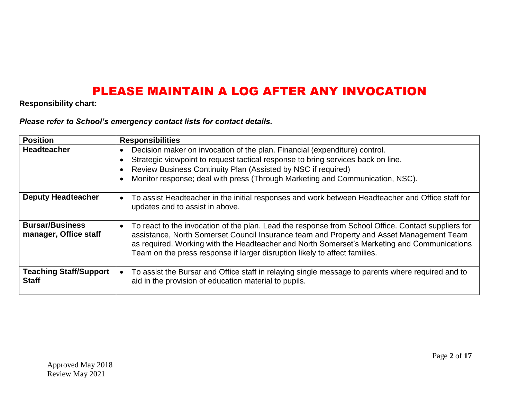### PLEASE MAINTAIN A LOG AFTER ANY INVOCATION

#### **Responsibility chart:**

*Please refer to School's emergency contact lists for contact details.* 

| <b>Position</b>                                 | <b>Responsibilities</b>                                                                                                                                                                                                                                                                                                                                                      |
|-------------------------------------------------|------------------------------------------------------------------------------------------------------------------------------------------------------------------------------------------------------------------------------------------------------------------------------------------------------------------------------------------------------------------------------|
| <b>Headteacher</b>                              | Decision maker on invocation of the plan. Financial (expenditure) control.<br>Strategic viewpoint to request tactical response to bring services back on line.<br>Review Business Continuity Plan (Assisted by NSC if required)<br>Monitor response; deal with press (Through Marketing and Communication, NSC).                                                             |
| <b>Deputy Headteacher</b>                       | To assist Headteacher in the initial responses and work between Headteacher and Office staff for<br>updates and to assist in above.                                                                                                                                                                                                                                          |
| <b>Bursar/Business</b><br>manager, Office staff | To react to the invocation of the plan. Lead the response from School Office. Contact suppliers for<br>assistance, North Somerset Council Insurance team and Property and Asset Management Team<br>as required. Working with the Headteacher and North Somerset's Marketing and Communications<br>Team on the press response if larger disruption likely to affect families. |
| <b>Teaching Staff/Support</b><br><b>Staff</b>   | To assist the Bursar and Office staff in relaying single message to parents where required and to<br>aid in the provision of education material to pupils.                                                                                                                                                                                                                   |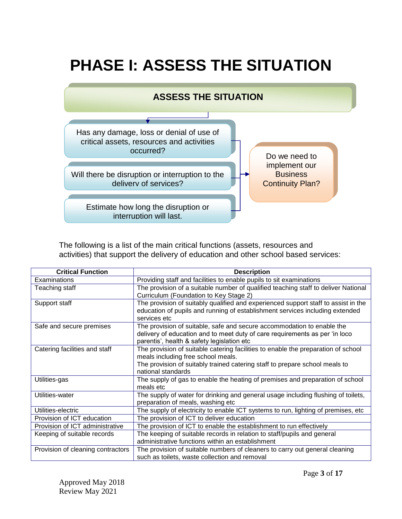# **PHASE I: ASSESS THE SITUATION**

### **ASSESS THE SITUATION**



The following is a list of the main critical functions (assets, resources and activities) that support the delivery of education and other school based services:

| <b>Critical Function</b>          | <b>Description</b>                                                                                                                                                                                                           |
|-----------------------------------|------------------------------------------------------------------------------------------------------------------------------------------------------------------------------------------------------------------------------|
| Examinations                      | Providing staff and facilities to enable pupils to sit examinations                                                                                                                                                          |
| Teaching staff                    | The provision of a suitable number of qualified teaching staff to deliver National<br>Curriculum (Foundation to Key Stage 2)                                                                                                 |
| Support staff                     | The provision of suitably qualified and experienced support staff to assist in the<br>education of pupils and running of establishment services including extended<br>services etc                                           |
| Safe and secure premises          | The provision of suitable, safe and secure accommodation to enable the<br>delivery of education and to meet duty of care requirements as per 'in loco<br>parentis', health & safety legislation etc                          |
| Catering facilities and staff     | The provision of suitable catering facilities to enable the preparation of school<br>meals including free school meals.<br>The provision of suitably trained catering staff to prepare school meals to<br>national standards |
| Utilities-gas                     | The supply of gas to enable the heating of premises and preparation of school<br>meals etc                                                                                                                                   |
| Utilities-water                   | The supply of water for drinking and general usage including flushing of toilets,<br>preparation of meals, washing etc                                                                                                       |
| Utilities-electric                | The supply of electricity to enable ICT systems to run, lighting of premises, etc                                                                                                                                            |
| Provision of ICT education        | The provision of ICT to deliver education                                                                                                                                                                                    |
| Provision of ICT administrative   | The provision of ICT to enable the establishment to run effectively                                                                                                                                                          |
| Keeping of suitable records       | The keeping of suitable records in relation to staff/pupils and general<br>administrative functions within an establishment                                                                                                  |
| Provision of cleaning contractors | The provision of suitable numbers of cleaners to carry out general cleaning<br>such as toilets, waste collection and removal                                                                                                 |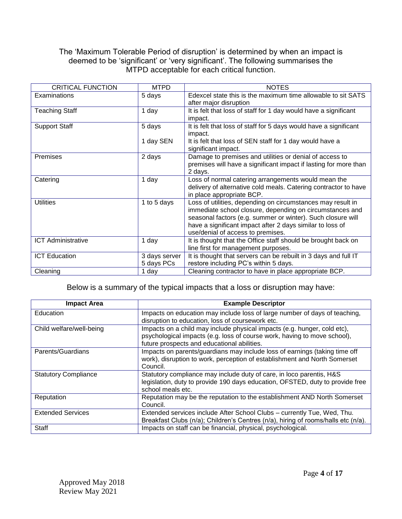#### The 'Maximum Tolerable Period of disruption' is determined by when an impact is deemed to be 'significant' or 'very significant'. The following summarises the MTPD acceptable for each critical function.

| <b>CRITICAL FUNCTION</b>  | <b>MTPD</b>   | <b>NOTES</b>                                                      |
|---------------------------|---------------|-------------------------------------------------------------------|
| Examinations              | 5 days        | Edexcel state this is the maximum time allowable to sit SATS      |
|                           |               | after major disruption                                            |
| <b>Teaching Staff</b>     | 1 day         | It is felt that loss of staff for 1 day would have a significant  |
|                           |               | impact.                                                           |
| <b>Support Staff</b>      | 5 days        | It is felt that loss of staff for 5 days would have a significant |
|                           |               | impact.                                                           |
|                           | 1 day SEN     | It is felt that loss of SEN staff for 1 day would have a          |
|                           |               | significant impact.                                               |
| Premises                  | 2 days        | Damage to premises and utilities or denial of access to           |
|                           |               | premises will have a significant impact if lasting for more than  |
|                           |               | 2 days.                                                           |
| Catering                  | 1 day         | Loss of normal catering arrangements would mean the               |
|                           |               | delivery of alternative cold meals. Catering contractor to have   |
|                           |               | in place appropriate BCP.                                         |
| <b>Utilities</b>          | 1 to 5 days   | Loss of utilities, depending on circumstances may result in       |
|                           |               | immediate school closure, depending on circumstances and          |
|                           |               | seasonal factors (e.g. summer or winter). Such closure will       |
|                           |               | have a significant impact after 2 days similar to loss of         |
|                           |               | use/denial of access to premises.                                 |
| <b>ICT Administrative</b> | 1 day         | It is thought that the Office staff should be brought back on     |
|                           |               | line first for management purposes.                               |
| <b>ICT Education</b>      | 3 days server | It is thought that servers can be rebuilt in 3 days and full IT   |
|                           | 5 days PCs    | restore including PC's within 5 days.                             |
| Cleaning                  | 1 day         | Cleaning contractor to have in place appropriate BCP.             |

Below is a summary of the typical impacts that a loss or disruption may have:

| <b>Impact Area</b>          | <b>Example Descriptor</b>                                                                                                                                                                           |
|-----------------------------|-----------------------------------------------------------------------------------------------------------------------------------------------------------------------------------------------------|
| Education                   | Impacts on education may include loss of large number of days of teaching,<br>disruption to education, loss of coursework etc.                                                                      |
| Child welfare/well-being    | Impacts on a child may include physical impacts (e.g. hunger, cold etc),<br>psychological impacts (e.g. loss of course work, having to move school),<br>future prospects and educational abilities. |
| Parents/Guardians           | Impacts on parents/guardians may include loss of earnings (taking time off<br>work), disruption to work, perception of establishment and North Somerset<br>Council.                                 |
| <b>Statutory Compliance</b> | Statutory compliance may include duty of care, in loco parentis, H&S<br>legislation, duty to provide 190 days education, OFSTED, duty to provide free<br>school meals etc.                          |
| Reputation                  | Reputation may be the reputation to the establishment AND North Somerset<br>Council.                                                                                                                |
| <b>Extended Services</b>    | Extended services include After School Clubs - currently Tue, Wed, Thu.<br>Breakfast Clubs (n/a); Children's Centres (n/a), hiring of rooms/halls etc (n/a).                                        |
| <b>Staff</b>                | Impacts on staff can be financial, physical, psychological.                                                                                                                                         |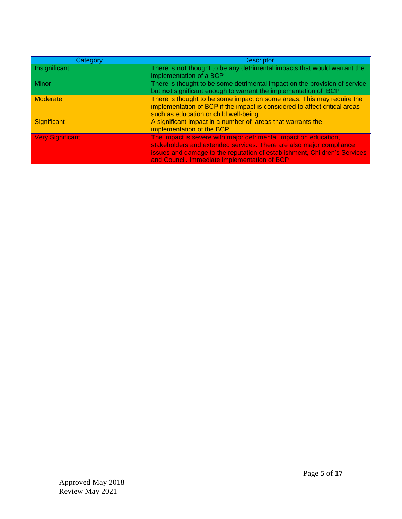| Category                | <b>Descriptor</b>                                                                                                                                                                                                                                                    |
|-------------------------|----------------------------------------------------------------------------------------------------------------------------------------------------------------------------------------------------------------------------------------------------------------------|
| Insignificant           | There is not thought to be any detrimental impacts that would warrant the<br>implementation of a BCP                                                                                                                                                                 |
| Minor                   | There is thought to be some detrimental impact on the provision of service<br>but not significant enough to warrant the implementation of BCP                                                                                                                        |
| Moderate                | There is thought to be some impact on some areas. This may require the<br>implementation of BCP if the impact is considered to affect critical areas<br>such as education or child well-being                                                                        |
| Significant             | A significant impact in a number of areas that warrants the<br>implementation of the BCP                                                                                                                                                                             |
| <b>Very Significant</b> | The impact is severe with major detrimental impact on education,<br>stakeholders and extended services. There are also major compliance<br>issues and damage to the reputation of establishment, Children's Services<br>and Council. Immediate implementation of BCP |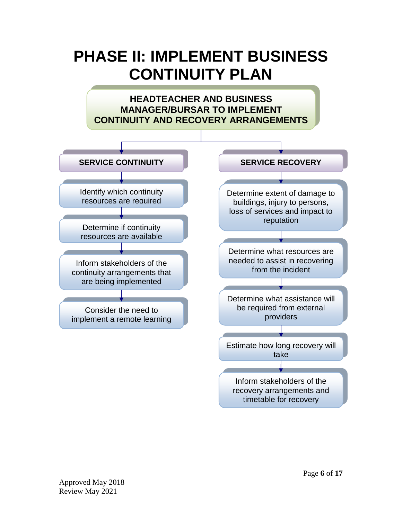## **PHASE II: IMPLEMENT BUSINESS CONTINUITY PLAN**

**HEADTEACHER AND BUSINESS MANAGER/BURSAR TO IMPLEMENT CONTINUITY AND RECOVERY ARRANGEMENTS**

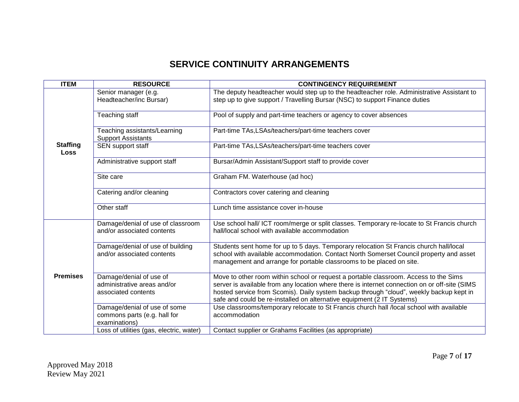### **SERVICE CONTINUITY ARRANGEMENTS**

| <b>ITEM</b>                    | <b>RESOURCE</b>                                                               | <b>CONTINGENCY REQUIREMENT</b>                                                                                                                                                                                                                                                                                                                             |
|--------------------------------|-------------------------------------------------------------------------------|------------------------------------------------------------------------------------------------------------------------------------------------------------------------------------------------------------------------------------------------------------------------------------------------------------------------------------------------------------|
|                                | Senior manager (e.g.<br>Headteacher/inc Bursar)                               | The deputy headteacher would step up to the headteacher role. Administrative Assistant to<br>step up to give support / Travelling Bursar (NSC) to support Finance duties                                                                                                                                                                                   |
|                                | Teaching staff                                                                | Pool of supply and part-time teachers or agency to cover absences                                                                                                                                                                                                                                                                                          |
|                                | Teaching assistants/Learning<br><b>Support Assistants</b>                     | Part-time TAs, LSAs/teachers/part-time teachers cover                                                                                                                                                                                                                                                                                                      |
| <b>Staffing</b><br><b>Loss</b> | SEN support staff                                                             | Part-time TAs,LSAs/teachers/part-time teachers cover                                                                                                                                                                                                                                                                                                       |
|                                | Administrative support staff                                                  | Bursar/Admin Assistant/Support staff to provide cover                                                                                                                                                                                                                                                                                                      |
|                                | Site care                                                                     | Graham FM. Waterhouse (ad hoc)                                                                                                                                                                                                                                                                                                                             |
|                                | Catering and/or cleaning                                                      | Contractors cover catering and cleaning                                                                                                                                                                                                                                                                                                                    |
|                                | Other staff                                                                   | Lunch time assistance cover in-house                                                                                                                                                                                                                                                                                                                       |
|                                | Damage/denial of use of classroom<br>and/or associated contents               | Use school hall/ ICT room/merge or split classes. Temporary re-locate to St Francis church<br>hall/local school with available accommodation                                                                                                                                                                                                               |
|                                | Damage/denial of use of building<br>and/or associated contents                | Students sent home for up to 5 days. Temporary relocation St Francis church hall/local<br>school with available accommodation. Contact North Somerset Council property and asset<br>management and arrange for portable classrooms to be placed on site.                                                                                                   |
| <b>Premises</b>                | Damage/denial of use of<br>administrative areas and/or<br>associated contents | Move to other room within school or request a portable classroom. Access to the Sims<br>server is available from any location where there is internet connection on or off-site (SIMS<br>hosted service from Scomis). Daily system backup through "cloud", weekly backup kept in<br>safe and could be re-installed on alternative equipment (2 IT Systems) |
|                                | Damage/denial of use of some<br>commons parts (e.g. hall for<br>examinations) | Use classrooms/temporary relocate to St Francis church hall /local school with available<br>accommodation                                                                                                                                                                                                                                                  |
|                                | Loss of utilities (gas, electric, water)                                      | Contact supplier or Grahams Facilities (as appropriate)                                                                                                                                                                                                                                                                                                    |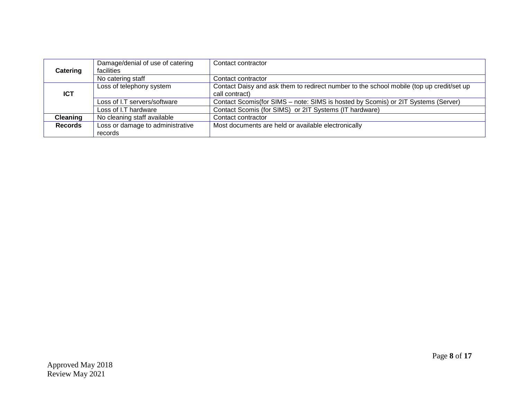| Catering        | Damage/denial of use of catering<br><b>facilities</b> | Contact contractor                                                                       |
|-----------------|-------------------------------------------------------|------------------------------------------------------------------------------------------|
|                 | No catering staff                                     | Contact contractor                                                                       |
|                 | Loss of telephony system                              | Contact Daisy and ask them to redirect number to the school mobile (top up credit/set up |
| <b>ICT</b>      |                                                       | call contract)                                                                           |
|                 | Loss of I.T servers/software                          | Contact Scomis(for SIMS - note: SIMS is hosted by Scomis) or 2IT Systems (Server)        |
|                 | Loss of I.T hardware                                  | Contact Scomis (for SIMS) or 2IT Systems (IT hardware)                                   |
| <b>Cleaning</b> | No cleaning staff available                           | Contact contractor                                                                       |
| <b>Records</b>  | Loss or damage to administrative                      | Most documents are held or available electronically                                      |
|                 | records                                               |                                                                                          |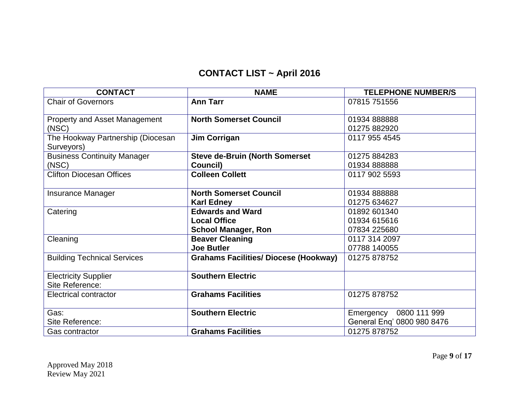### **CONTACT LIST ~ April 2016**

| <b>CONTACT</b>                       | <b>NAME</b>                                  | <b>TELEPHONE NUMBER/S</b>  |
|--------------------------------------|----------------------------------------------|----------------------------|
| <b>Chair of Governors</b>            | <b>Ann Tarr</b>                              | 07815 751556               |
|                                      |                                              |                            |
| <b>Property and Asset Management</b> | <b>North Somerset Council</b>                | 01934 888888               |
| (NSC)                                |                                              | 01275 882920               |
| The Hookway Partnership (Diocesan    | Jim Corrigan                                 | 0117 955 4545              |
| Surveyors)                           |                                              |                            |
| <b>Business Continuity Manager</b>   | <b>Steve de-Bruin (North Somerset</b>        | 01275 884283               |
| (NSC)                                | Council)                                     | 01934 888888               |
| <b>Clifton Diocesan Offices</b>      | <b>Colleen Collett</b>                       | 0117 902 5593              |
|                                      |                                              |                            |
| <b>Insurance Manager</b>             | <b>North Somerset Council</b>                | 01934 888888               |
|                                      | <b>Karl Edney</b>                            | 01275 634627               |
| Catering                             | <b>Edwards and Ward</b>                      | 01892 601340               |
|                                      | <b>Local Office</b>                          | 01934 615616               |
|                                      | <b>School Manager, Ron</b>                   | 07834 225680               |
| Cleaning                             | <b>Beaver Cleaning</b>                       | 0117 314 2097              |
|                                      | <b>Joe Butler</b>                            | 07788 140055               |
| <b>Building Technical Services</b>   | <b>Grahams Facilities/ Diocese (Hookway)</b> | 01275 878752               |
|                                      |                                              |                            |
| <b>Electricity Supplier</b>          | <b>Southern Electric</b>                     |                            |
| Site Reference:                      |                                              |                            |
| Electrical contractor                | <b>Grahams Facilities</b>                    | 01275 878752               |
|                                      |                                              |                            |
| Gas:                                 | <b>Southern Electric</b>                     | 0800 111 999<br>Emergency  |
| Site Reference:                      |                                              | General Eng' 0800 980 8476 |
| <b>Gas contractor</b>                | <b>Grahams Facilities</b>                    | 01275 878752               |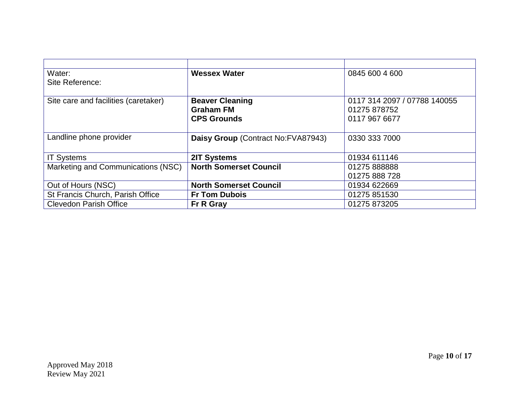| Water:                               | <b>Wessex Water</b>                | 0845 600 4 600               |
|--------------------------------------|------------------------------------|------------------------------|
| Site Reference:                      |                                    |                              |
|                                      |                                    |                              |
| Site care and facilities (caretaker) | <b>Beaver Cleaning</b>             | 0117 314 2097 / 07788 140055 |
|                                      | <b>Graham FM</b>                   | 01275 878752                 |
|                                      | <b>CPS Grounds</b>                 | 0117 967 6677                |
|                                      |                                    |                              |
| Landline phone provider              | Daisy Group (Contract No:FVA87943) | 0330 333 7000                |
|                                      |                                    |                              |
| <b>IT Systems</b>                    | 2IT Systems                        | 01934 611146                 |
| Marketing and Communications (NSC)   | <b>North Somerset Council</b>      | 01275 888888                 |
|                                      |                                    | 01275 888 728                |
| Out of Hours (NSC)                   | <b>North Somerset Council</b>      | 01934 622669                 |
| St Francis Church, Parish Office     | <b>Fr Tom Dubois</b>               | 01275 851530                 |
| <b>Clevedon Parish Office</b>        | Fr R Gray                          | 01275 873205                 |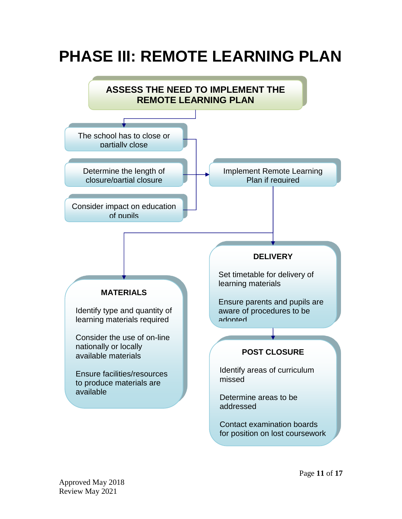# **PHASE III: REMOTE LEARNING PLAN**

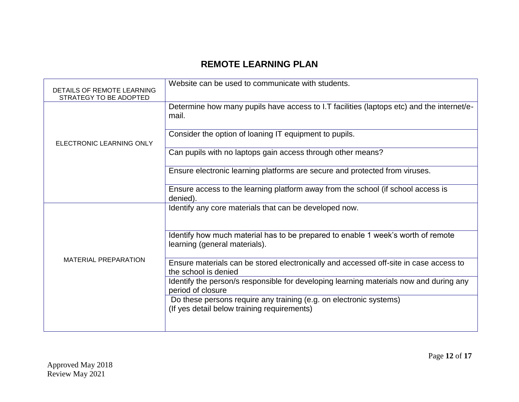### **REMOTE LEARNING PLAN**

| DETAILS OF REMOTE LEARNING<br>STRATEGY TO BE ADOPTED | Website can be used to communicate with students.                                                                 |
|------------------------------------------------------|-------------------------------------------------------------------------------------------------------------------|
| ELECTRONIC LEARNING ONLY                             | Determine how many pupils have access to I.T facilities (laptops etc) and the internet/e-<br>mail.                |
|                                                      | Consider the option of loaning IT equipment to pupils.                                                            |
|                                                      | Can pupils with no laptops gain access through other means?                                                       |
|                                                      | Ensure electronic learning platforms are secure and protected from viruses.                                       |
|                                                      | Ensure access to the learning platform away from the school (if school access is<br>denied).                      |
|                                                      | Identify any core materials that can be developed now.                                                            |
| <b>MATERIAL PREPARATION</b>                          | Identify how much material has to be prepared to enable 1 week's worth of remote<br>learning (general materials). |
|                                                      | Ensure materials can be stored electronically and accessed off-site in case access to<br>the school is denied     |
|                                                      | Identify the person/s responsible for developing learning materials now and during any<br>period of closure       |
|                                                      | Do these persons require any training (e.g. on electronic systems)<br>(If yes detail below training requirements) |
|                                                      |                                                                                                                   |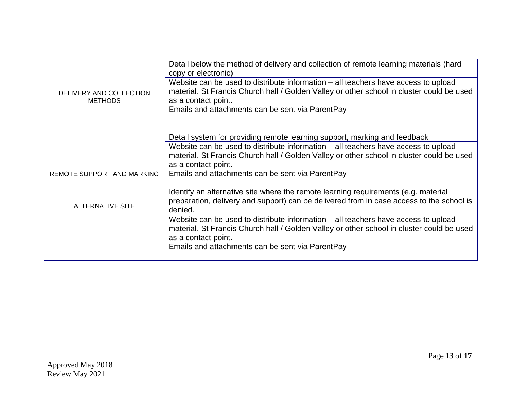| DELIVERY AND COLLECTION<br><b>METHODS</b> | Detail below the method of delivery and collection of remote learning materials (hard<br>copy or electronic)<br>Website can be used to distribute information – all teachers have access to upload<br>material. St Francis Church hall / Golden Valley or other school in cluster could be used<br>as a contact point.<br>Emails and attachments can be sent via ParentPay |
|-------------------------------------------|----------------------------------------------------------------------------------------------------------------------------------------------------------------------------------------------------------------------------------------------------------------------------------------------------------------------------------------------------------------------------|
|                                           |                                                                                                                                                                                                                                                                                                                                                                            |
|                                           | Detail system for providing remote learning support, marking and feedback                                                                                                                                                                                                                                                                                                  |
|                                           | Website can be used to distribute information – all teachers have access to upload<br>material. St Francis Church hall / Golden Valley or other school in cluster could be used<br>as a contact point.                                                                                                                                                                     |
| REMOTE SUPPORT AND MARKING                | Emails and attachments can be sent via ParentPay                                                                                                                                                                                                                                                                                                                           |
| <b>ALTERNATIVE SITE</b>                   | Identify an alternative site where the remote learning requirements (e.g. material<br>preparation, delivery and support) can be delivered from in case access to the school is<br>denied.                                                                                                                                                                                  |
|                                           | Website can be used to distribute information – all teachers have access to upload<br>material. St Francis Church hall / Golden Valley or other school in cluster could be used<br>as a contact point.                                                                                                                                                                     |
|                                           | Emails and attachments can be sent via ParentPay                                                                                                                                                                                                                                                                                                                           |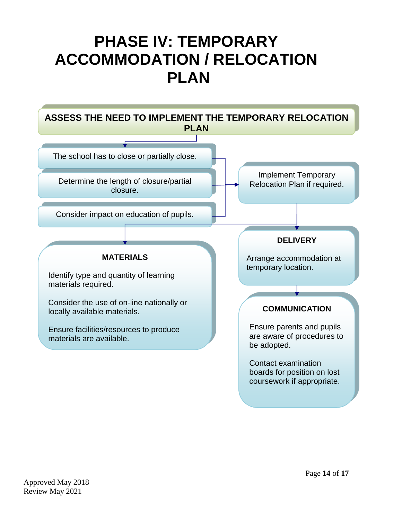# **PHASE IV: TEMPORARY ACCOMMODATION / RELOCATION PLAN**

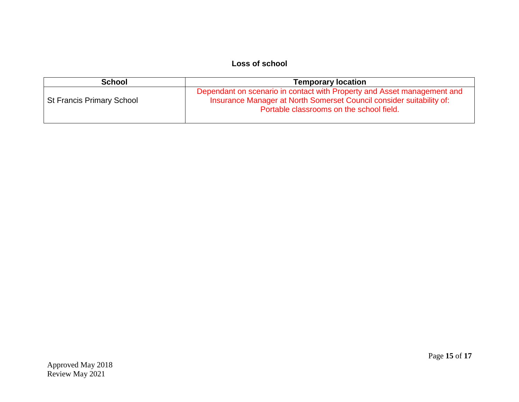#### **Loss of school**

| <b>School</b>                    | <b>Temporary location</b>                                                                                                                                                                   |  |  |
|----------------------------------|---------------------------------------------------------------------------------------------------------------------------------------------------------------------------------------------|--|--|
| <b>St Francis Primary School</b> | Dependant on scenario in contact with Property and Asset management and<br>Insurance Manager at North Somerset Council consider suitability of:<br>Portable classrooms on the school field. |  |  |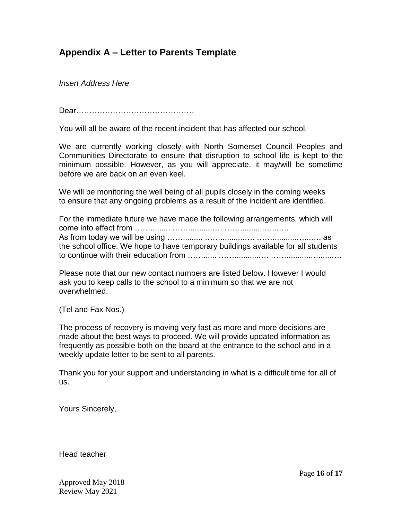#### **Appendix A – Letter to Parents Template**

*Insert Address Here*

Dear………………………………………

You will all be aware of the recent incident that has affected our school.

We are currently working closely with North Somerset Council Peoples and Communities Directorate to ensure that disruption to school life is kept to the minimum possible. However, as you will appreciate, it may/will be sometime before we are back on an even keel.

We will be monitoring the well being of all pupils closely in the coming weeks to ensure that any ongoing problems as a result of the incident are identified.

For the immediate future we have made the following arrangements, which will come into effect from ……......... ……...........…. ……...........…...…. As from today we will be using ……......... ……...........…. ……...........…...…. as the school office. We hope to have temporary buildings available for all students to continue with their education from ……...... ……...........…. ……...........…......….

Please note that our new contact numbers are listed below. However I would ask you to keep calls to the school to a minimum so that we are not overwhelmed.

(Tel and Fax Nos.)

The process of recovery is moving very fast as more and more decisions are made about the best ways to proceed. We will provide updated information as frequently as possible both on the board at the entrance to the school and in a weekly update letter to be sent to all parents.

Thank you for your support and understanding in what is a difficult time for all of us.

Yours Sincerely,

Head teacher